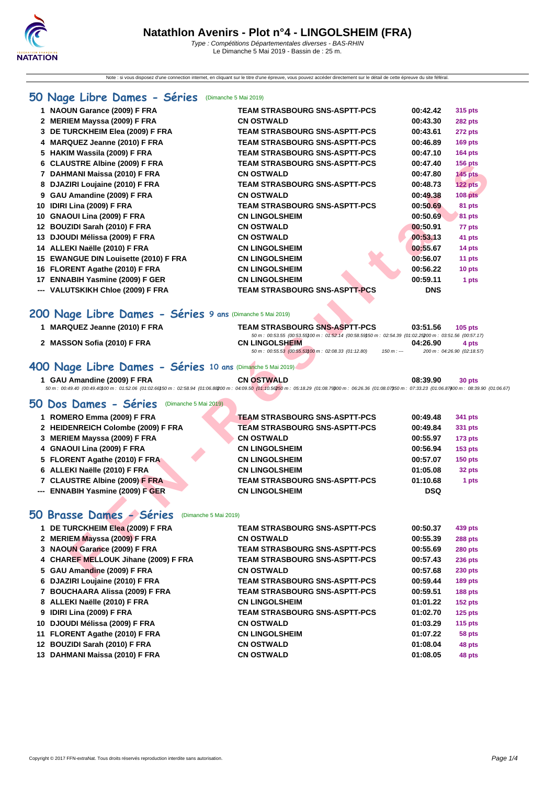Note : si vous disposez d'une connection internet, en cliquant sur le titre d'une épreuve, vous pouvez accéder directement sur le détail de cette épreuve du site féféral.

### **[50 Na](http://www.ffnatation.fr/webffn/index.php)ge Libre Dames - Séries** (Dimanche 5 Mai 2019)

| 1 NAOUN Garance (2009) F FRA                                                                                                                                                                                                               | <b>TEAM STRASBOURG SNS-ASPTT-PCS</b>                                                                                                           | 00:42.42   | 315 pts                    |
|--------------------------------------------------------------------------------------------------------------------------------------------------------------------------------------------------------------------------------------------|------------------------------------------------------------------------------------------------------------------------------------------------|------------|----------------------------|
| 2 MERIEM Mayssa (2009) F FRA                                                                                                                                                                                                               | <b>CN OSTWALD</b>                                                                                                                              | 00:43.30   | 282 pts                    |
| 3 DE TURCKHEIM Elea (2009) F FRA                                                                                                                                                                                                           | <b>TEAM STRASBOURG SNS-ASPTT-PCS</b>                                                                                                           | 00:43.61   | 272 pts                    |
| 4 MARQUEZ Jeanne (2010) F FRA                                                                                                                                                                                                              | <b>TEAM STRASBOURG SNS-ASPTT-PCS</b>                                                                                                           | 00:46.89   | <b>169 pts</b>             |
| 5 HAKIM Wassila (2009) F FRA                                                                                                                                                                                                               | <b>TEAM STRASBOURG SNS-ASPTT-PCS</b>                                                                                                           | 00:47.10   | <b>164 pts</b>             |
| 6 CLAUSTRE Albine (2009) F FRA                                                                                                                                                                                                             | <b>TEAM STRASBOURG SNS-ASPTT-PCS</b>                                                                                                           | 00:47.40   | <b>156 pts</b>             |
| 7 DAHMANI Maissa (2010) F FRA                                                                                                                                                                                                              | <b>CN OSTWALD</b>                                                                                                                              | 00:47.80   | <b>145 pts</b>             |
| 8 DJAZIRI Loujaine (2010) F FRA                                                                                                                                                                                                            | <b>TEAM STRASBOURG SNS-ASPTT-PCS</b>                                                                                                           | 00:48.73   | 122 pts                    |
| 9 GAU Amandine (2009) F FRA                                                                                                                                                                                                                | <b>CN OSTWALD</b>                                                                                                                              | 00:49.38   | <b>108 pts</b>             |
| 10 IDIRI Lina (2009) F FRA                                                                                                                                                                                                                 | <b>TEAM STRASBOURG SNS-ASPTT-PCS</b>                                                                                                           | 00:50.69   | 81 pts                     |
| 10 GNAOUI Lina (2009) F FRA                                                                                                                                                                                                                | <b>CN LINGOLSHEIM</b>                                                                                                                          | 00:50.69   | 81 pts                     |
| 12 BOUZIDI Sarah (2010) F FRA                                                                                                                                                                                                              | <b>CN OSTWALD</b>                                                                                                                              | 00:50.91   | 77 pts                     |
| 13 DJOUDI Mélissa (2009) F FRA                                                                                                                                                                                                             | <b>CN OSTWALD</b>                                                                                                                              | 00:53.13   | 41 pts                     |
| 14 ALLEKI Naëlle (2010) F FRA                                                                                                                                                                                                              | <b>CN LINGOLSHEIM</b>                                                                                                                          | 00:55.67   | 14 pts                     |
| 15 EWANGUE DIN Louisette (2010) F FRA                                                                                                                                                                                                      | <b>CN LINGOLSHEIM</b>                                                                                                                          | 00:56.07   | 11 pts                     |
| 16 FLORENT Agathe (2010) F FRA                                                                                                                                                                                                             | <b>CN LINGOLSHEIM</b>                                                                                                                          | 00:56.22   | 10 pts                     |
| 17 ENNABIH Yasmine (2009) F GER                                                                                                                                                                                                            | <b>CN LINGOLSHEIM</b>                                                                                                                          | 00:59.11   | 1 pts                      |
| --- VALUTSKIKH Chloe (2009) F FRA                                                                                                                                                                                                          | <b>TEAM STRASBOURG SNS-ASPTT-PCS</b>                                                                                                           | <b>DNS</b> |                            |
| 200 Nage Libre Dames - Séries 9 ans (Dimanche 5 Mai 2019)                                                                                                                                                                                  |                                                                                                                                                |            |                            |
| 1 MARQUEZ Jeanne (2010) F FRA                                                                                                                                                                                                              | <b>TEAM STRASBOURG SNS-ASPTT-PCS</b><br>50 m: 00:53.55 (00:53.55) 00 m: 01:52.14 (00:58.59) 50 m: 02:54.39 (01:02.25200 m: 03:51.56 (00:57.17) | 03:51.56   | $105$ pts                  |
| 2 MASSON Sofia (2010) F FRA                                                                                                                                                                                                                | <b>CN LINGOLSHEIM</b>                                                                                                                          | 04:26.90   | 4 pts                      |
|                                                                                                                                                                                                                                            | 50 m: 00:55.53 (00:55.53) 00 m: 02:08.33 (01:12.80)<br>$150 m: -$                                                                              |            | 200 m: 04:26.90 (02:18.57) |
| 100 Nage Libre Dames - Séries 10 ans (Dimanche 5 Mai 2019)                                                                                                                                                                                 |                                                                                                                                                |            |                            |
| 1 GAU Amandine (2009) F FRA<br>50 m : 00:49.40 (00:49.40)00 m : 01:52.06 (01:02.66)50 m : 02:58.94 (01:06.88200 m : 04:09.50 (01:10.56250 m : 05:18.29 (01:08.7900 m : 06:26.36 (01:08.07350 m : 07:33.23 (01:06.87400 m : 08:39.90 (01:06 | <b>CN OSTWALD</b>                                                                                                                              | 08:39.90   | 30 pts                     |
|                                                                                                                                                                                                                                            |                                                                                                                                                |            |                            |
| 50 Dos Dames - Séries<br>(Dimanche 5 Mai 2019)                                                                                                                                                                                             |                                                                                                                                                |            |                            |
| 1 ROMERO Emma (2009) F FRA                                                                                                                                                                                                                 | TEAM STRASBOURG SNS-ASPTT-PCS                                                                                                                  | 00:49.48   | 341 pts                    |
| 2 HEIDENREICH Colombe (2009) F FRA                                                                                                                                                                                                         | <b>TEAM STRASBOURG SNS-ASPTT-PCS</b>                                                                                                           | 00:49.84   | 331 pts                    |
| 3 MERIEM Mayssa (2009) F FRA                                                                                                                                                                                                               | <b>CN OSTWALD</b>                                                                                                                              | 00:55.97   | <b>173 pts</b>             |
| 4 GNAOUI Lina (2009) F FRA                                                                                                                                                                                                                 | <b>CN LINGOLSHEIM</b>                                                                                                                          | 00:56.94   | <b>153 pts</b>             |
| 5 FLORENT Agathe (2010) F FRA                                                                                                                                                                                                              | <b>CN LINGOLSHEIM</b>                                                                                                                          | 00:57.07   | $150$ pts                  |
| 6 ALLEKI Naëlle (2010) F FRA                                                                                                                                                                                                               | <b>CN LINGOLSHEIM</b>                                                                                                                          | 01:05.08   | 32 pts                     |
| 7 CLAUSTRE Albine (2009) F FRA                                                                                                                                                                                                             | <b>TEAM STRASBOURG SNS-ASPTT-PCS</b>                                                                                                           | 01:10.68   | 1 pts                      |
| --- ENNABIH Yasmine (2009) F GER                                                                                                                                                                                                           | <b>CN LINGOLSHEIM</b>                                                                                                                          | <b>DSQ</b> |                            |
|                                                                                                                                                                                                                                            |                                                                                                                                                |            |                            |
| iO Brasse Dames - Séries<br>(Dimanche 5 Mai 2019)                                                                                                                                                                                          |                                                                                                                                                |            |                            |
| 1 DE TURCKHEIM Elea (2009) F FRA                                                                                                                                                                                                           | <b>TEAM STRASBOURG SNS-ASPTT-PCS</b>                                                                                                           | 00:50.37   | 439 pts                    |
| 2 MERIEM Mayssa (2009) F FRA                                                                                                                                                                                                               | <b>CN OSTWALD</b>                                                                                                                              | 00:55.39   | 288 pts                    |
| 3 NAOUN Garance (2009) F FRA                                                                                                                                                                                                               | <b>TEAM STRASBOURG SNS-ASPTT-PCS</b>                                                                                                           | 00:55.69   | <b>280 pts</b>             |
| 4 CHAREF MELLOUK Jihane (2009) F FRA                                                                                                                                                                                                       | <b>TEAM STRASBOURG SNS-ASPTT-PCS</b>                                                                                                           | 00:57.43   | <b>236 pts</b>             |
| 5 GAU Amandine (2009) F FRA                                                                                                                                                                                                                | <b>CN OSTWALD</b>                                                                                                                              | 00:57.68   | 230 pts                    |
|                                                                                                                                                                                                                                            |                                                                                                                                                |            |                            |

### **200 Nage Libre Dames - Séries 9 ans** (Dimanche 5 Mai 2019)

| <b>MARQUEZ Jeanne (2010) F FRA</b>                         | <b>TEAM STRASBOURG SNS-ASPTT-PCS</b><br>03:51.56<br>$105$ pts                                              |
|------------------------------------------------------------|------------------------------------------------------------------------------------------------------------|
|                                                            | 50 m : 00:53.55 (00:53.55) 00 m : 01:52.14 (00:58.59) 50 m : 02:54.39 (01:02.25200 m : 03:51.56 (00:57.17) |
| 2 MASSON Sofia (2010) F FRA<br><b>CN LINGOLSHEIM</b>       | 04:26.90<br>4 pts                                                                                          |
|                                                            | 50 m : 00:55.53 (00:55.53100 m : 02:08.33 (01:12.80)<br>200 m : 04:26.90 (02:18.57)<br>$150 m : -$         |
|                                                            |                                                                                                            |
| 400 Nage Libre Dames - Séries 10 ans (Dimanche 5 Mai 2019) |                                                                                                            |

| 1 GAU Amandine (2009) F FRA |                                                                                                                                                                                                                                | <b>CN OSTWALD</b> |  | 08:39.90 | 30 pts |  |
|-----------------------------|--------------------------------------------------------------------------------------------------------------------------------------------------------------------------------------------------------------------------------|-------------------|--|----------|--------|--|
|                             | 50 50.00.49, 50 51:00.49, 60:49, 60:49, 60:00.68, 60:00 m : 01:52.06 (01:02.66) 50 m : 02:58.94 (01:06.88200 m : 04:09.50 (01:10.56250 m : 05:18.29 (01:08.79800 m : 06:26.36 (01:08.07350 m : 07:33.23 (01:06.87400 m : 08:39 |                   |  |          |        |  |

### **50 Dos Dames - Séries** (Dimanche 5 Mai 2019)

| 1 ROMERO Emma (2009) F FRA         | <b>TEAM STRASBOURG SNS-ASPTT-PCS</b> | 00:49.48   | 341 pts        |
|------------------------------------|--------------------------------------|------------|----------------|
| 2 HEIDENREICH Colombe (2009) F FRA | <b>TEAM STRASBOURG SNS-ASPTT-PCS</b> | 00:49.84   | 331 pts        |
| 3 MERIEM Mayssa (2009) F FRA       | <b>CN OSTWALD</b>                    | 00:55.97   | <b>173 pts</b> |
| 4 GNAOUI Lina (2009) F FRA         | <b>CN LINGOLSHEIM</b>                | 00:56.94   | $153$ pts      |
| 5 FLORENT Agathe (2010) F FRA      | <b>CN LINGOLSHEIM</b>                | 00:57.07   | $150$ pts      |
| 6 ALLEKI Naëlle (2010) F FRA       | <b>CN LINGOLSHEIM</b>                | 01:05.08   | 32 pts         |
| 7 CLAUSTRE Albine (2009) F FRA     | <b>TEAM STRASBOURG SNS-ASPTT-PCS</b> | 01:10.68   | 1 pts          |
| --- ENNABIH Yasmine (2009) F GER   | <b>CN LINGOLSHEIM</b>                | <b>DSQ</b> |                |

### **50 Brasse Dames - Séries** (Dimanche 5 Mai 2019)

| 1 DE TURCKHEIM Elea (2009) F FRA     | <b>TEAM STRASBOURG SNS-ASPTT-PCS</b> | 00:50.37 | 439 pts        |
|--------------------------------------|--------------------------------------|----------|----------------|
| 2 MERIEM Mayssa (2009) F FRA         | <b>CN OSTWALD</b>                    | 00:55.39 | <b>288 pts</b> |
| 3 NAOUN Garance (2009) F FRA         | <b>TEAM STRASBOURG SNS-ASPTT-PCS</b> | 00:55.69 | <b>280 pts</b> |
| 4 CHAREF MELLOUK Jihane (2009) F FRA | <b>TEAM STRASBOURG SNS-ASPTT-PCS</b> | 00:57.43 | <b>236 pts</b> |
| 5 GAU Amandine (2009) F FRA          | <b>CN OSTWALD</b>                    | 00:57.68 | <b>230 pts</b> |
| 6 DJAZIRI Loujaine (2010) F FRA      | <b>TEAM STRASBOURG SNS-ASPTT-PCS</b> | 00:59.44 | 189 pts        |
| 7 BOUCHAARA Alissa (2009) F FRA      | <b>TEAM STRASBOURG SNS-ASPTT-PCS</b> | 00:59.51 | <b>188 pts</b> |
| 8 ALLEKI Naëlle (2010) F FRA         | <b>CN LINGOLSHEIM</b>                | 01:01.22 | <b>152 pts</b> |
| 9 IDIRI Lina (2009) F FRA            | <b>TEAM STRASBOURG SNS-ASPTT-PCS</b> | 01:02.70 | $125$ pts      |
| 10 DJOUDI Mélissa (2009) F FRA       | <b>CN OSTWALD</b>                    | 01:03.29 | <b>115 pts</b> |
| 11 FLORENT Agathe (2010) F FRA       | <b>CN LINGOLSHEIM</b>                | 01:07.22 | 58 pts         |
| 12 BOUZIDI Sarah (2010) F FRA        | <b>CN OSTWALD</b>                    | 01:08.04 | 48 pts         |
| 13 DAHMANI Maissa (2010) F FRA       | <b>CN OSTWALD</b>                    | 01:08.05 | 48 pts         |
|                                      |                                      |          |                |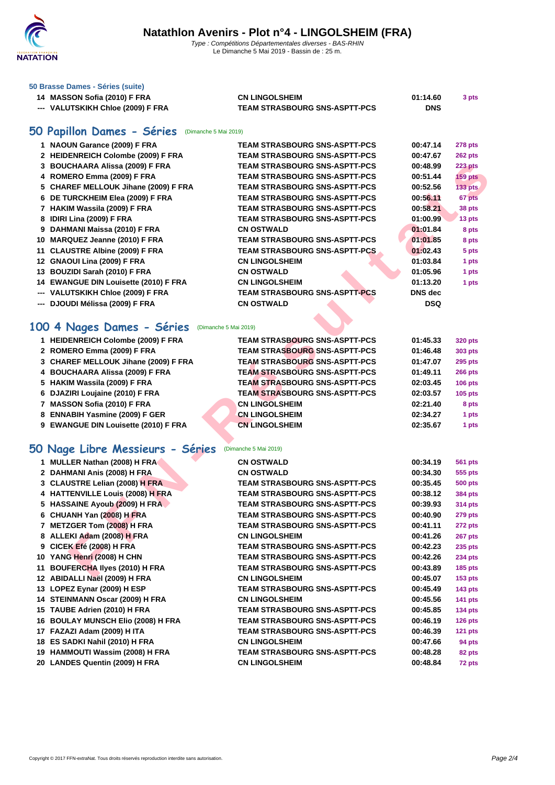

#### **[50 Brasse](http://www.ffnatation.fr/webffn/index.php) Dames - Séries (suite)**

| 14 MASSON Sofia (2010) F FRA      | <b>CN LINGOLSHEIM</b>                | 01:14.60   | 3 pts |
|-----------------------------------|--------------------------------------|------------|-------|
| --- VALUTSKIKH Chloe (2009) F FRA | <b>TEAM STRASBOURG SNS-ASPTT-PCS</b> | <b>DNS</b> |       |

### **50 Papillon Dames - Séries** (Dimanche 5 Mai 2019)

| 1 NAOUN Garance (2009) F FRA                       | <b>TEAM STRASBOURG SNS-ASPTT-PCS</b> | 00:47.14        | 278 pts                         |
|----------------------------------------------------|--------------------------------------|-----------------|---------------------------------|
| 2 HEIDENREICH Colombe (2009) F FRA                 | <b>TEAM STRASBOURG SNS-ASPTT-PCS</b> | 00:47.67        | 262 pts                         |
| 3 BOUCHAARA Alissa (2009) F FRA                    | <b>TEAM STRASBOURG SNS-ASPTT-PCS</b> | 00:48.99        | <b>223 pts</b>                  |
| 4 ROMERO Emma (2009) F FRA                         | <b>TEAM STRASBOURG SNS-ASPTT-PCS</b> | 00:51.44        | <b>159 pts</b>                  |
| 5 CHAREF MELLOUK Jihane (2009) F FRA               | <b>TEAM STRASBOURG SNS-ASPTT-PCS</b> | 00:52.56        | <b>133 pts</b>                  |
| 6 DE TURCKHEIM Elea (2009) F FRA                   | <b>TEAM STRASBOURG SNS-ASPTT-PCS</b> | 00:56.11        | 67 pts                          |
| 7 HAKIM Wassila (2009) F FRA                       | <b>TEAM STRASBOURG SNS-ASPTT-PCS</b> | 00:58.21        | 38 pts                          |
| 8 IDIRI Lina (2009) F FRA                          | <b>TEAM STRASBOURG SNS-ASPTT-PCS</b> | 01:00.99        | 13 pts                          |
| 9 DAHMANI Maissa (2010) F FRA                      | <b>CN OSTWALD</b>                    | 01:01.84        | 8 pts                           |
| 10 MARQUEZ Jeanne (2010) F FRA                     | TEAM STRASBOURG SNS-ASPTT-PCS        | 01:01.85        | 8 pts                           |
| 11 CLAUSTRE Albine (2009) F FRA                    | <b>TEAM STRASBOURG SNS-ASPTT-PCS</b> | 01:02.43        | 5 pts                           |
| 12 GNAOUI Lina (2009) F FRA                        | <b>CN LINGOLSHEIM</b>                | 01:03.84        | 1 pts                           |
| 13 BOUZIDI Sarah (2010) F FRA                      | <b>CN OSTWALD</b>                    | 01:05.96        | 1 pts                           |
| 14 EWANGUE DIN Louisette (2010) F FRA              | <b>CN LINGOLSHEIM</b>                | 01:13.20        | 1 pts                           |
| --- VALUTSKIKH Chloe (2009) F FRA                  | <b>TEAM STRASBOURG SNS-ASPTT-PCS</b> | <b>DNS</b> dec  |                                 |
| --- DJOUDI Mélissa (2009) F FRA                    | <b>CN OSTWALD</b>                    | <b>DSQ</b>      |                                 |
|                                                    |                                      |                 |                                 |
| 00 4 Nages Dames - Séries<br>(Dimanche 5 Mai 2019) |                                      |                 |                                 |
| 1 HEIDENREICH Colombe (2009) F FRA                 | <b>TEAM STRASBOURG SNS-ASPTT-PCS</b> | 01:45.33        | <b>320 pts</b>                  |
| 2 ROMERO Emma (2009) F FRA                         | <b>TEAM STRASBOURG SNS-ASPTT-PCS</b> | 01:46.48        | 303 pts                         |
| 3 CHAREF MELLOUK Jihane (2009) F FRA               | <b>TEAM STRASBOURG SNS-ASPTT-PCS</b> | 01:47.07        | <b>295 pts</b>                  |
| 4 BOUCHAARA Alissa (2009) F FRA                    | <b>TEAM STRASBOURG SNS-ASPTT-PCS</b> | 01:49.11        | <b>266 pts</b>                  |
| 5 HAKIM Wassila (2009) F FRA                       | <b>TEAM STRASBOURG SNS-ASPTT-PCS</b> | 02:03.45        | <b>106 pts</b>                  |
| 6 DJAZIRI Loujaine (2010) F FRA                    | <b>TEAM STRASBOURG SNS-ASPTT-PCS</b> | 02:03.57        | <b>105 pts</b>                  |
| 7 MASSON Sofia (2010) F FRA                        | <b>CN LINGOLSHEIM</b>                | 02:21.40        | 8 pts                           |
| 8 ENNABIH Yasmine (2009) F GER                     | <b>CN LINGOLSHEIM</b>                | 02:34.27        | 1 pts                           |
| 9 EWANGUE DIN Louisette (2010) F FRA               | <b>CN LINGOLSHEIM</b>                | 02:35.67        | 1 pts                           |
|                                                    |                                      |                 |                                 |
| 0 Nage Libre Messieurs - Séries                    | (Dimanche 5 Mai 2019)                |                 |                                 |
| 1 MULLER Nathan (2008) H FRA                       | <b>CN OSTWALD</b>                    | 00:34.19        | <b>561 pts</b>                  |
| 2 DAHMANI Anis (2008) H FRA                        | <b>CN OSTWALD</b>                    | 00:34.30        | 555 pts                         |
| 3 CLAUSTRE Lelian (2008) H FRA                     | <b>TEAM STRASBOURG SNS-ASPTT-PCS</b> | 00:35.45        | <b>500 pts</b>                  |
| 4 HATTENVILLE Louis (2008) H FRA                   | <b>TEAM STRASBOURG SNS-ASPTT-PCS</b> | 00:38.12        | <b>384 pts</b>                  |
| 5 HASSAINE Ayoub (2009) H FRA                      | <b>TEAM STRASBOURG SNS-ASPTT-PCS</b> | 00:39.93        | <b>314 pts</b>                  |
| 6 CHUANH Yan (2008) H FRA                          | TEAM STRASBOURG SNS-ASPTT-PCS        | 00:40.90        | 279 pts                         |
| 7 METZGER Tom (2008) H FRA                         | <b>TEAM STRASBOURG SNS-ASPTT-PCS</b> | 00:41.11        | 272 pts                         |
| 8 ALLEKI Adam (2008) H FRA                         | <b>CN LINGOLSHEIM</b>                | 00:41.26        | 267 pts                         |
| 9 CICEK Efé (2008) H FRA                           | <b>TEAM STRASBOURG SNS-ASPTT-PCS</b> | 00:42.23        | <b>235 pts</b>                  |
| 10 YANG Henri (2008) H CHN                         | <b>TEAM STRASBOURG SNS-ASPTT-PCS</b> | 00:42.26        | <b>234 pts</b>                  |
| 11 BOUFERCHA llyes (2010) H FRA                    | <b>TEAM STRASBOURG SNS-ASPTT-PCS</b> | 00:43.89        | <b>185 pts</b>                  |
| 40.400311111221/0000111003                         | <b>ONLINIOOL OUTING</b>              | <b>00.45.07</b> | $\overline{AB}$ $\overline{AB}$ |

### 100 4 Nages Dames - Séries (Dimanche 5 Mai 2019)

| 1 HEIDENREICH Colombe (2009) F FRA   | <b>TEAM STRASBOURG SNS-ASPTT-PCS</b> | 01:45.33 | 320 pts        |
|--------------------------------------|--------------------------------------|----------|----------------|
| 2 ROMERO Emma (2009) F FRA           | <b>TEAM STRASBOURG SNS-ASPTT-PCS</b> | 01:46.48 | 303 pts        |
| 3 CHAREF MELLOUK Jihane (2009) F FRA | <b>TEAM STRASBOURG SNS-ASPTT-PCS</b> | 01:47.07 | 295 pts        |
| 4 BOUCHAARA Alissa (2009) F FRA      | <b>TEAM STRASBOURG SNS-ASPTT-PCS</b> | 01:49.11 | <b>266 pts</b> |
| 5 HAKIM Wassila (2009) F FRA         | <b>TEAM STRASBOURG SNS-ASPTT-PCS</b> | 02:03.45 | <b>106 pts</b> |
| 6 DJAZIRI Loujaine (2010) F FRA      | <b>TEAM STRASBOURG SNS-ASPTT-PCS</b> | 02:03.57 | <b>105 pts</b> |
| 7 MASSON Sofia (2010) F FRA          | <b>CN LINGOLSHEIM</b>                | 02:21.40 | 8 pts          |
| 8 ENNABIH Yasmine (2009) F GER       | <b>CN LINGOLSHEIM</b>                | 02:34.27 | 1 pts          |
| 9 EWANGUE DIN Louisette (2010) F FRA | <b>CN LINGOLSHEIM</b>                | 02:35.67 | 1 pts          |

# **50 Nage Libre Messieurs - Séries** (Dimanche 5 Mai 2019)

| 1 MULLER Nathan (2008) H FRA       | <b>CN OSTWALD</b>                    | 00:34.19 | <b>561 pts</b> |
|------------------------------------|--------------------------------------|----------|----------------|
| 2 DAHMANI Anis (2008) H FRA        | <b>CN OSTWALD</b>                    | 00:34.30 | 555 pts        |
| 3 CLAUSTRE Lelian (2008) H FRA     | <b>TEAM STRASBOURG SNS-ASPTT-PCS</b> | 00:35.45 | <b>500 pts</b> |
| 4 HATTENVILLE Louis (2008) H FRA   | <b>TEAM STRASBOURG SNS-ASPTT-PCS</b> | 00:38.12 | <b>384 pts</b> |
| 5 HASSAINE Ayoub (2009) H FRA      | <b>TEAM STRASBOURG SNS-ASPTT-PCS</b> | 00:39.93 | 314 pts        |
| 6 CHUANH Yan (2008) H FRA          | <b>TEAM STRASBOURG SNS-ASPTT-PCS</b> | 00:40.90 | <b>279 pts</b> |
| 7 METZGER Tom (2008) H FRA         | <b>TEAM STRASBOURG SNS-ASPTT-PCS</b> | 00:41.11 | 272 pts        |
| 8 ALLEKI Adam (2008) H FRA         | <b>CN LINGOLSHEIM</b>                | 00:41.26 | 267 pts        |
| 9 CICEK Efé (2008) H FRA           | <b>TEAM STRASBOURG SNS-ASPTT-PCS</b> | 00:42.23 | $235$ pts      |
| 10 YANG Henri (2008) H CHN         | <b>TEAM STRASBOURG SNS-ASPTT-PCS</b> | 00:42.26 | <b>234 pts</b> |
| 11 BOUFERCHA liyes (2010) H FRA    | <b>TEAM STRASBOURG SNS-ASPTT-PCS</b> | 00:43.89 | <b>185 pts</b> |
| 12 ABIDALLI Naël (2009) H FRA      | <b>CN LINGOLSHEIM</b>                | 00:45.07 | <b>153 pts</b> |
| 13 LOPEZ Eynar (2009) H ESP        | <b>TEAM STRASBOURG SNS-ASPTT-PCS</b> | 00:45.49 | $143$ pts      |
| 14 STEINMANN Oscar (2009) H FRA    | <b>CN LINGOLSHEIM</b>                | 00:45.56 | 141 $pts$      |
| 15 TAUBE Adrien (2010) H FRA       | <b>TEAM STRASBOURG SNS-ASPTT-PCS</b> | 00:45.85 | $134$ pts      |
| 16 BOULAY MUNSCH Elio (2008) H FRA | <b>TEAM STRASBOURG SNS-ASPTT-PCS</b> | 00:46.19 | $126$ pts      |
| 17 FAZAZI Adam (2009) H ITA        | <b>TEAM STRASBOURG SNS-ASPTT-PCS</b> | 00:46.39 | $121$ pts      |
| 18 ES SADKI Nahil (2010) H FRA     | <b>CN LINGOLSHEIM</b>                | 00:47.66 | 94 pts         |
| 19 HAMMOUTI Wassim (2008) H FRA    | <b>TEAM STRASBOURG SNS-ASPTT-PCS</b> | 00:48.28 | 82 pts         |
| 20 LANDES Quentin (2009) H FRA     | <b>CN LINGOLSHEIM</b>                | 00:48.84 | 72 pts         |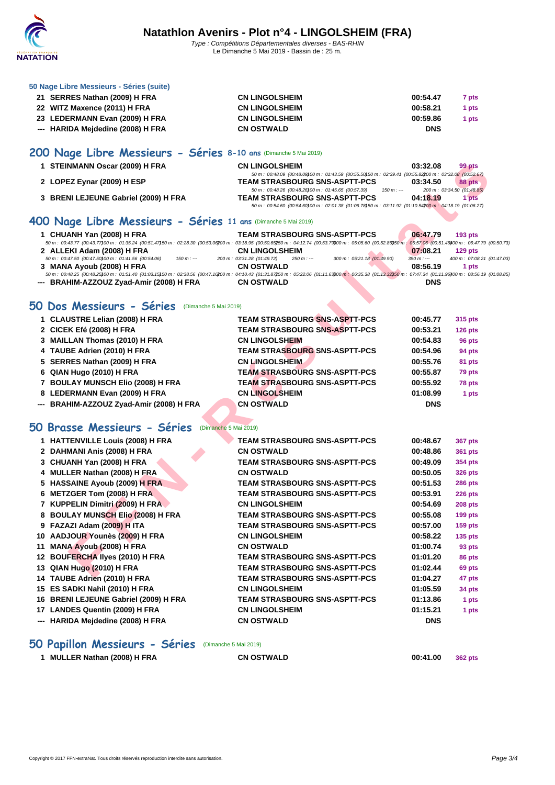

#### **[50 Nage L](http://www.ffnatation.fr/webffn/index.php)ibre Messieurs - Séries (suite)**

| 21 SERRES Nathan (2009) H FRA     | <b>CN LINGOLSHEIM</b> | 00:54.47<br>7 pts |
|-----------------------------------|-----------------------|-------------------|
| 22 WITZ Maxence (2011) H FRA      | <b>CN LINGOLSHEIM</b> | 00:58.21<br>1 pts |
| 23 LEDERMANN Evan (2009) H FRA    | <b>CN LINGOLSHEIM</b> | 00:59.86<br>1 pts |
| --- HARIDA Mejdedine (2008) H FRA | <b>CN OSTWALD</b>     | <b>DNS</b>        |

# **200 Nage Libre Messieurs - Séries 8-10 ans** (Dimanche 5 Mai 2019)

| 1 STEINMANN Oscar (2009) H FRA       | <b>CN LINGOLSHEIM</b>                                                                                      | 03:32.08                    | 99 pts |
|--------------------------------------|------------------------------------------------------------------------------------------------------------|-----------------------------|--------|
|                                      | 50 m : 00:48.09 (00:48.09) 00 m : 01:43.59 (00:55.50) 50 m : 02:39.41 (00:55.82200 m : 03:32.08 (00:52.67) |                             |        |
| 2 LOPEZ Eynar (2009) H ESP           | <b>TEAM STRASBOURG SNS-ASPTT-PCS</b>                                                                       | 03:34.50                    | 88 pts |
|                                      | 50 m : 00:48.26 (00:48.26) 00 m : 01:45.65 (00:57.39)<br>$150 m : -$                                       | 200 m : 03:34.50 (01:48.85) |        |
| 3 BRENI LEJEUNE Gabriel (2009) H FRA | <b>TEAM STRASBOURG SNS-ASPTT-PCS</b>                                                                       | 04:18.19                    | 1 pts  |
|                                      | 50 m : 00:54.60 (00:54.60) 00 m : 02:01.38 (01:06.78) 50 m : 03:11.92 (01:10.54200 m : 04:18.19 (01:06.27) |                             |        |

#### **400 Nage Libre Messieurs - Séries 11 ans** (Dimanche 5 Mai 2019)

| 1 CHUANH Yan (2008) H FRA                                                                                                                                                                                        |             |                            |             | <b>TEAM STRASBOURG SNS-ASPTT-PCS</b> | 06:47.79    | $193$ pts                  |
|------------------------------------------------------------------------------------------------------------------------------------------------------------------------------------------------------------------|-------------|----------------------------|-------------|--------------------------------------|-------------|----------------------------|
| 50 m : 00:43.77 (00:43.77)00 m : 01:35.24 (00:51.47)50 m : 02:28.30 (00:53.06200 m : 03:18.95 (00:50.65250 m : 04:12.74 (00:53.79300 m : 05:05.60 (00:52.86350 m : 05:57.06 (00:51.46400 m : 06:47.79 (00:50.73) |             |                            |             |                                      |             |                            |
| 2 ALLEKI Adam (2008) H FRA                                                                                                                                                                                       |             | <b>CN LINGOLSHEIM</b>      |             |                                      | 07:08.21    | $129$ pts                  |
| 50 m : 00:47.50 (00:47.50) 00 m : 01:41.56 (00:54.06)                                                                                                                                                            | $150 m : -$ | 200 m: 03:31.28 (01:49.72) | $250 m : -$ | 300 m : 05:21.18 (01:49.90)          | $350 m : -$ | 400 m: 07:08.21 (01:47.03) |
| 3 MANA Ayoub (2008) H FRA                                                                                                                                                                                        |             | <b>CN OSTWALD</b>          |             |                                      | 08:56.19    | 1 pts                      |
| 50 m: 00:48.25 (00:48.25)00 m: 01:51.40 (01:03.15)50 m: 02:38.56 (00:47.16200 m: 04:10.43 (01:31.87250 m: 05:22.06 (01:11.63200 m: 06:35.38 (01:13.32350 m: 07:47.34 (01:11.96400 m: 08:56.19 (01:08.85)         |             |                            |             |                                      |             |                            |
| --- BRAHIM-AZZOUZ Zyad-Amir (2008) H FRA                                                                                                                                                                         |             | <b>CN OSTWALD</b>          |             |                                      | <b>DNS</b>  |                            |
|                                                                                                                                                                                                                  |             |                            |             |                                      |             |                            |
|                                                                                                                                                                                                                  |             |                            |             |                                      |             |                            |

### **50 Dos Messieurs - Séries** (Dimanche 5 Mai 2019)

|     | 1 STEINMANN Oscar (2009) H FRA                                                                                                                                                                                                            | <b>CN LINGOLSHEIM</b><br>50 m: 00:48.09 (00:48.09) 00 m: 01:43.59 (00:55.50) 50 m: 02:39.41 (00:55.82200 m: 03:32.08 (00:52.67)                                                                                       | 03:32.08    | 99 pts                               |
|-----|-------------------------------------------------------------------------------------------------------------------------------------------------------------------------------------------------------------------------------------------|-----------------------------------------------------------------------------------------------------------------------------------------------------------------------------------------------------------------------|-------------|--------------------------------------|
|     | 2 LOPEZ Eynar (2009) H ESP                                                                                                                                                                                                                | <b>TEAM STRASBOURG SNS-ASPTT-PCS</b>                                                                                                                                                                                  | 03:34.50    | 88 pts                               |
|     | 3 BRENI LEJEUNE Gabriel (2009) H FRA                                                                                                                                                                                                      | 50 m : 00:48.26 (00:48.26) 00 m : 01:45.65 (00:57.39)<br>$150 m: -$<br><b>TEAM STRASBOURG SNS-ASPTT-PCS</b><br>50 m: 00:54.60 (00:54.60) 00 m: 02:01.38 (01:06.78) 50 m: 03:11.92 (01:10.54200 m: 04:18.19 (01:06.27) | 04:18.19    | 200 m : 03:34.50 (01:48.85)<br>1 pts |
|     |                                                                                                                                                                                                                                           |                                                                                                                                                                                                                       |             |                                      |
|     | 400 Nage Libre Messieurs - Séries 11 ans (Dimanche 5 Mai 2019)                                                                                                                                                                            |                                                                                                                                                                                                                       |             |                                      |
|     | 1 CHUANH Yan (2008) H FRA<br>50 m : 00:43.77 (00:43.77)00 m : 01:35.24 (00:51.47)50 m : 02:28.30 (00:53.06200 m : 03:18.95 (00:50.65250 m : 04:12.74 (00:53.7900 m : 05:05.60 (00:52.86350 m : 05:57.06 (00:51.46)00 m : 06:47.79 (00:51  | <b>TEAM STRASBOURG SNS-ASPTT-PCS</b>                                                                                                                                                                                  | 06:47.79    | <b>193 pts</b>                       |
|     | 2 ALLEKI Adam (2008) H FRA                                                                                                                                                                                                                | <b>CN LINGOLSHEIM</b>                                                                                                                                                                                                 | 07:08.21    | 129 pts                              |
|     | 50 m : 00:47.50 (00:47.50) 00 m : 01:41.56 (00:54.06)<br>$150 m : -$                                                                                                                                                                      | 300 m: 05:21.18 (01:49.90)<br>200 m: 03:31.28 (01:49.72)<br>$250 m : -$                                                                                                                                               | $350 m : -$ | 400 m: 07:08.21 (01:47               |
|     | 3 MANA Ayoub (2008) H FRA<br>50 m : 00:48.25 (00:48.25)00 m : 01:51.40 (01:03.15)50 m : 02:38.56 (00:47.16200 m : 04:10.43 (01:31.87250 m : 05:22.06 (01:11.63300 m : 06:35.38 (01:13.32350 m : 07:47.34 (01:11.96)00 m : 08:56.19 (01:08 | <b>CN OSTWALD</b>                                                                                                                                                                                                     | 08:56.19    | 1 pts                                |
|     | --- BRAHIM-AZZOUZ Zyad-Amir (2008) H FRA                                                                                                                                                                                                  | <b>CN OSTWALD</b>                                                                                                                                                                                                     | <b>DNS</b>  |                                      |
|     | 50 Dos Messieurs - Séries<br>(Dimanche 5 Mai 2019)                                                                                                                                                                                        |                                                                                                                                                                                                                       |             |                                      |
|     | 1 CLAUSTRE Lelian (2008) H FRA                                                                                                                                                                                                            | <b>TEAM STRASBOURG SNS-ASPTT-PCS</b>                                                                                                                                                                                  | 00:45.77    | 315 pts                              |
|     | 2 CICEK Efé (2008) H FRA                                                                                                                                                                                                                  | <b>TEAM STRASBOURG SNS-ASPTT-PCS</b>                                                                                                                                                                                  | 00:53.21    | 126 pts                              |
|     | 3 MAILLAN Thomas (2010) H FRA                                                                                                                                                                                                             | <b>CN LINGOLSHEIM</b>                                                                                                                                                                                                 | 00:54.83    | 96 pts                               |
|     | 4 TAUBE Adrien (2010) H FRA                                                                                                                                                                                                               | <b>TEAM STRASBOURG SNS-ASPTT-PCS</b>                                                                                                                                                                                  | 00:54.96    | 94 pts                               |
|     | 5 SERRES Nathan (2009) H FRA                                                                                                                                                                                                              | <b>CN LINGOLSHEIM</b>                                                                                                                                                                                                 | 00:55.76    | 81 pts                               |
|     | 6 QIAN Hugo (2010) H FRA                                                                                                                                                                                                                  | <b>TEAM STRASBOURG SNS-ASPTT-PCS</b>                                                                                                                                                                                  | 00:55.87    | 79 pts                               |
|     | 7 BOULAY MUNSCH Elio (2008) H FRA                                                                                                                                                                                                         | <b>TEAM STRASBOURG SNS-ASPTT-PCS</b>                                                                                                                                                                                  | 00:55.92    | 78 pts                               |
|     | 8 LEDERMANN Evan (2009) H FRA                                                                                                                                                                                                             | <b>CN LINGOLSHEIM</b>                                                                                                                                                                                                 | 01:08.99    | 1 pts                                |
| --- | BRAHIM-AZZOUZ Zyad-Amir (2008) H FRA                                                                                                                                                                                                      | <b>CN OSTWALD</b>                                                                                                                                                                                                     | <b>DNS</b>  |                                      |
|     | 50 Brasse Messieurs - Séries<br>(Dimanche 5 Mai 2019)                                                                                                                                                                                     |                                                                                                                                                                                                                       |             |                                      |
|     | 1 HATTENVILLE Louis (2008) H FRA                                                                                                                                                                                                          | <b>TEAM STRASBOURG SNS-ASPTT-PCS</b>                                                                                                                                                                                  | 00:48.67    | 367 pts                              |
|     | 2 DAHMANI Anis (2008) H FRA                                                                                                                                                                                                               | <b>CN OSTWALD</b>                                                                                                                                                                                                     | 00:48.86    | 361 pts                              |
|     | 3 CHUANH Yan (2008) H FRA                                                                                                                                                                                                                 | <b>TEAM STRASBOURG SNS-ASPTT-PCS</b>                                                                                                                                                                                  | 00:49.09    | 354 pts                              |
|     | 4 MULLER Nathan (2008) H FRA                                                                                                                                                                                                              | <b>CN OSTWALD</b>                                                                                                                                                                                                     | 00:50.05    | 326 pts                              |
|     | 5 HASSAINE Ayoub (2009) H FRA                                                                                                                                                                                                             | <b>TEAM STRASBOURG SNS-ASPTT-PCS</b>                                                                                                                                                                                  | 00:51.53    | 286 pts                              |
|     | 6 METZGER Tom (2008) H FRA                                                                                                                                                                                                                | <b>TEAM STRASBOURG SNS-ASPTT-PCS</b>                                                                                                                                                                                  | 00:53.91    | <b>226 pts</b>                       |
|     | 7 KUPPELIN Dimitri (2009) H FRA                                                                                                                                                                                                           | <b>CN LINGOLSHEIM</b>                                                                                                                                                                                                 | 00:54.69    | <b>208 pts</b>                       |
|     | 8 BOULAY MUNSCH Elio (2008) H FRA                                                                                                                                                                                                         | <b>TEAM STRASBOURG SNS-ASPTT-PCS</b>                                                                                                                                                                                  | 00:55.08    | <b>199 pts</b>                       |
|     | 9 FAZAZI Adam (2009) H ITA                                                                                                                                                                                                                | <b>TEAM STRASBOURG SNS-ASPTT-PCS</b>                                                                                                                                                                                  | 00:57.00    | <b>159 pts</b>                       |
|     | 10 AADJOUR Younès (2009) H FRA                                                                                                                                                                                                            | <b>CN LINGOLSHEIM</b>                                                                                                                                                                                                 | 00:58.22    | <b>135 pts</b>                       |
| 11  | <b>MANA Ayoub (2008) H FRA</b>                                                                                                                                                                                                            | <b>CN OSTWALD</b>                                                                                                                                                                                                     | 01:00.74    | 93 pts                               |
|     | 12 BOUFERCHA liyes (2010) H FRA                                                                                                                                                                                                           | <b>TEAM STRASBOURG SNS-ASPTT-PCS</b>                                                                                                                                                                                  | 01:01.20    | 86 pts                               |
|     | 13 QIAN Hugo (2010) H FRA                                                                                                                                                                                                                 | <b>TEAM STRASBOURG SNS-ASPTT-PCS</b>                                                                                                                                                                                  | 01:02.44    | 69 pts                               |
|     | 14 TAUBE Adrien (2010) H FRA                                                                                                                                                                                                              | <b>TEAM STRASBOURG SNS-ASPTT-PCS</b>                                                                                                                                                                                  | 01:04.27    | 47 pts                               |
|     | 15 ES SADKI Nahil (2010) H FRA                                                                                                                                                                                                            | <b>CN LINGOLSHEIM</b>                                                                                                                                                                                                 | 01:05.59    | 34 pts                               |
|     | 16 BRENI LEJEUNE Gabriel (2009) H FRA                                                                                                                                                                                                     | <b>TEAM STRASBOURG SNS-ASPTT-PCS</b>                                                                                                                                                                                  | 01:13.86    | 1 pts                                |
|     | 17 LANDES Quentin (2009) H FRA                                                                                                                                                                                                            | <b>CN LINGOLSHEIM</b>                                                                                                                                                                                                 | 01:15.21    | 1 pts                                |
|     | --- HARIDA Mejdedine (2008) H FRA                                                                                                                                                                                                         | <b>CN OSTWALD</b>                                                                                                                                                                                                     | <b>DNS</b>  |                                      |
|     |                                                                                                                                                                                                                                           |                                                                                                                                                                                                                       |             |                                      |

### **50 Papillon Messieurs - Séries** (Dimanche 5 Mai 2019)

|  | MULLER Nathan (2008) H FRA |  |  |
|--|----------------------------|--|--|
|--|----------------------------|--|--|

**MULLER Nathan (2008) H FRA CN OSTWALD 00:41.00 362 pts**